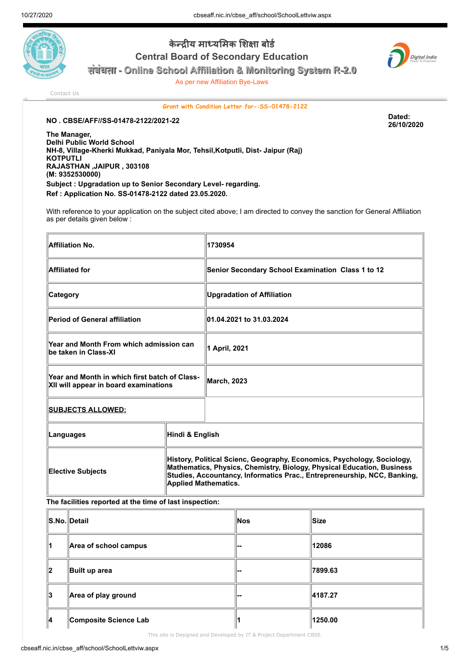

केन्द्रीय माध्यमिक शिक्षा बोर्ड Central Board of Secondary Education



संबंधता - Online School Affiliation & Monitoring System R-2.0

As per new Affiliation Bye-Laws

[Contact Us](http://cbseaff.nic.in/cbse_aff/help.aspx)

Grant with Condition Letter for-:SS-01478-2122

26/10/2020

NO . CBSE/AFF//SS-01478-2122/2021-22 Dated:

The Manager, Delhi Public World School NH-8, Village-Kherki Mukkad, Paniyala Mor, Tehsil,Kotputli, Dist- Jaipur (Raj) **KOTPUTLI** RAJASTHAN ,JAIPUR , 303108 (M: 9352530000) Subject : Upgradation up to Senior Secondary Level- regarding. Ref : Application No. SS-01478-2122 dated 23.05.2020.

With reference to your application on the subject cited above; I am directed to convey the sanction for General Affiliation as per details given below :

| <b>Affiliation No.</b>                                                                 |                 | 1730954                                                                                                                                                                                                                                                      |  |
|----------------------------------------------------------------------------------------|-----------------|--------------------------------------------------------------------------------------------------------------------------------------------------------------------------------------------------------------------------------------------------------------|--|
| <b>Affiliated for</b>                                                                  |                 | Senior Secondary School Examination Class 1 to 12                                                                                                                                                                                                            |  |
| Category                                                                               |                 | <b>Upgradation of Affiliation</b>                                                                                                                                                                                                                            |  |
| <b>Period of General affiliation</b>                                                   |                 | 01.04.2021 to 31.03.2024                                                                                                                                                                                                                                     |  |
| Year and Month From which admission can<br>be taken in Class-XI                        |                 | 1 April, 2021                                                                                                                                                                                                                                                |  |
| Year and Month in which first batch of Class-<br>XII will appear in board examinations |                 | <b>March, 2023</b>                                                                                                                                                                                                                                           |  |
| <b>SUBJECTS ALLOWED:</b>                                                               |                 |                                                                                                                                                                                                                                                              |  |
| Languages                                                                              | Hindi & English |                                                                                                                                                                                                                                                              |  |
| <b>Elective Subjects</b>                                                               |                 | History, Political Scienc, Geography, Economics, Psychology, Sociology,<br>Mathematics, Physics, Chemistry, Biology, Physical Education, Business<br>Studies, Accountancy, Informatics Prac., Entrepreneurship, NCC, Banking,<br><b>Applied Mathematics.</b> |  |

The facilities reported at the time of last inspection:

|    | ∥S.No.∥Detail         | Nos | ∥Size   |
|----|-----------------------|-----|---------|
| 11 | Area of school campus | ı   | 12086   |
| 12 | Built up area         | ı   | 7899.63 |
| ∥3 | Area of play ground   | ı   | 4187.27 |
| 14 | Composite Science Lab |     | 1250.00 |

This site is Designed and Developed by IT & Project Department CBSE.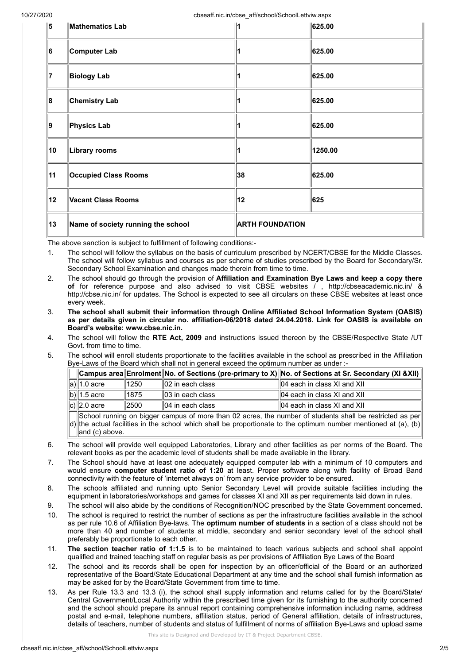10/27/2020 cbseaff.nic.in/cbse\_aff/school/SchoolLettviw.aspx

| 15 | Mathematics Lab                    |                        | 625.00  |
|----|------------------------------------|------------------------|---------|
| 6  | Computer Lab                       |                        | 625.00  |
| 17 | <b>Biology Lab</b>                 |                        | 625.00  |
| 8  | <b>Chemistry Lab</b>               |                        | 625.00  |
| 9  | Physics Lab                        |                        | 625.00  |
| 10 | Library rooms                      |                        | 1250.00 |
| 11 | <b>Occupied Class Rooms</b>        | 38                     | 625.00  |
| 12 | Vacant Class Rooms                 | 12                     | 625     |
| 13 | Name of society running the school | <b>ARTH FOUNDATION</b> |         |

The above sanction is subject to fulfillment of following conditions:-

- 1. The school will follow the syllabus on the basis of curriculum prescribed by NCERT/CBSE for the Middle Classes. The school will follow syllabus and courses as per scheme of studies prescribed by the Board for Secondary/Sr. Secondary School Examination and changes made therein from time to time.
- 2. The school should go through the provision of Affiliation and Examination Bye Laws and keep a copy there of for reference purpose and also advised to visit CBSE websites / , http://cbseacademic.nic.in/ & http://cbse.nic.in/ for updates. The School is expected to see all circulars on these CBSE websites at least once every week.
- 3. The school shall submit their information through Online Affiliated School Information System (OASIS) as per details given in circular no. affiliation-06/2018 dated 24.04.2018. Link for OASIS is available on Board's website: www.cbse.nic.in.
- 4. The school will follow the RTE Act, 2009 and instructions issued thereon by the CBSE/Respective State /UT Govt. from time to time.
- 5. The school will enroll students proportionate to the facilities available in the school as prescribed in the Affiliation Bye-Laws of the Board which shall not in general exceed the optimum number as under :-

|                                                                                                         |                  |                              | $ $ Campus area $ $ Enrolment $ $ No. of Sections (pre-primary to X) $ $ No. of Sections at Sr. Secondary (XI &XII) |  |  |
|---------------------------------------------------------------------------------------------------------|------------------|------------------------------|---------------------------------------------------------------------------------------------------------------------|--|--|
| ∥a)∥1.0 acre                                                                                            | 11250            | $\parallel$ 02 in each class | 04 each in class XI and XII                                                                                         |  |  |
| $\ b)\ $ 1.5 acre                                                                                       | 1875             | $\parallel$ 03 in each class | 04 each in class XI and XII                                                                                         |  |  |
| $\vert c) \vert$ 2.0 acre                                                                               | $\parallel$ 2500 | $  04$ in each class         | 04 each in class XI and XII                                                                                         |  |  |
| School running on bigger campus of more than 02 acres the number of students shall be restricted as per |                  |                              |                                                                                                                     |  |  |

d) the actual facilities in the school which shall be proportionate to the optimum number mentioned at (a), (b) an O2 acres, the number of students shall b and (c) above.

- 6. The school will provide well equipped Laboratories, Library and other facilities as per norms of the Board. The relevant books as per the academic level of students shall be made available in the library.
- 7. The School should have at least one adequately equipped computer lab with a minimum of 10 computers and would ensure computer student ratio of 1:20 at least. Proper software along with facility of Broad Band connectivity with the feature of 'internet always on' from any service provider to be ensured.
- 8. The schools affiliated and running upto Senior Secondary Level will provide suitable facilities including the equipment in laboratories/workshops and games for classes XI and XII as per requirements laid down in rules.
- 9. The school will also abide by the conditions of Recognition/NOC prescribed by the State Government concerned.
- 10. The school is required to restrict the number of sections as per the infrastructure facilities available in the school as per rule 10.6 of Affiliation Bye-laws. The optimum number of students in a section of a class should not be more than 40 and number of students at middle, secondary and senior secondary level of the school shall preferably be proportionate to each other.
- 11. The section teacher ratio of 1:1.5 is to be maintained to teach various subjects and school shall appoint qualified and trained teaching staff on regular basis as per provisions of Affiliation Bye Laws of the Board
- 12. The school and its records shall be open for inspection by an officer/official of the Board or an authorized representative of the Board/State Educational Department at any time and the school shall furnish information as may be asked for by the Board/State Government from time to time.
- 13. As per Rule 13.3 and 13.3 (i), the school shall supply information and returns called for by the Board/State/ Central Government/Local Authority within the prescribed time given for its furnishing to the authority concerned and the school should prepare its annual report containing comprehensive information including name, address postal and e-mail, telephone numbers, affiliation status, period of General affiliation, details of infrastructures, details of teachers, number of students and status of fulfillment of norms of affiliation Bye-Laws and upload same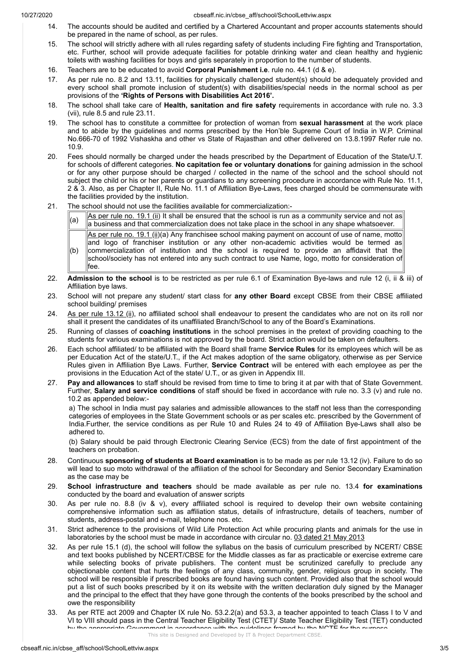$(b)$ 

fee.

- 14. The accounts should be audited and certified by a Chartered Accountant and proper accounts statements should be prepared in the name of school, as per rules.
- 15. The school will strictly adhere with all rules regarding safety of students including Fire fighting and Transportation, etc. Further, school will provide adequate facilities for potable drinking water and clean healthy and hygienic toilets with washing facilities for boys and girls separately in proportion to the number of students.
- 16. Teachers are to be educated to avoid Corporal Punishment i.e. rule no. 44.1 (d & e).
- 17. As per rule no. 8.2 and 13.11, facilities for physically challenged student(s) should be adequately provided and every school shall promote inclusion of student(s) with disabilities/special needs in the normal school as per provisions of the 'Rights of Persons with Disabilities Act 2016'.
- 18. The school shall take care of Health, sanitation and fire safety requirements in accordance with rule no. 3.3 (vii), rule 8.5 and rule 23.11.
- 19. The school has to constitute a committee for protection of woman from sexual harassment at the work place and to abide by the guidelines and norms prescribed by the Hon'ble Supreme Court of India in W.P. Criminal No.666-70 of 1992 Vishaskha and other vs State of Rajasthan and other delivered on 13.8.1997 Refer rule no. 10.9.
- 20. Fees should normally be charged under the heads prescribed by the Department of Education of the State/U.T. for schools of different categories. No capitation fee or voluntary donations for gaining admission in the school or for any other purpose should be charged / collected in the name of the school and the school should not subject the child or his or her parents or guardians to any screening procedure in accordance with Rule No. 11.1, 2 & 3. Also, as per Chapter II, Rule No. 11.1 of Affiliation Bye-Laws, fees charged should be commensurate with the facilities provided by the institution.
- 21. The school should not use the facilities available for commercialization:-

 $\begin{bmatrix} a \end{bmatrix}$  As per rule no. 19.1 (ii) It shall be ensured that the school is run as a community service and not as a business and that commercialization does not take place in the school in any shape whatsoever. As per rule no. 19.1 (ii)(a) Any franchisee school making payment on account of use of name, motto and logo of franchiser institution or any other non-academic activities would be termed as  $\,$  commercialization of institution and the school is required to provide an affidavit that the school/society has not entered into any such contract to use Name, logo, motto for consideration of

- 22. Admission to the school is to be restricted as per rule 6.1 of Examination Bye-laws and rule 12 (i, ii & iii) of Affiliation bye laws.
- 23. School will not prepare any student/ start class for any other Board except CBSE from their CBSE affiliated school building/ premises
- 24. As per rule 13.12 (ii), no affiliated school shall endeavour to present the candidates who are not on its roll nor shall it present the candidates of its unaffiliated Branch/School to any of the Board's Examinations.
- 25. Running of classes of coaching institutions in the school premises in the pretext of providing coaching to the students for various examinations is not approved by the board. Strict action would be taken on defaulters.
- 26. Each school affiliated/ to be affiliated with the Board shall frame Service Rules for its employees which will be as per Education Act of the state/U.T., if the Act makes adoption of the same obligatory, otherwise as per Service Rules given in Affiliation Bye Laws. Further, Service Contract will be entered with each employee as per the provisions in the Education Act of the state/ U.T., or as given in Appendix III.
- 27. Pay and allowances to staff should be revised from time to time to bring it at par with that of State Government. Further, Salary and service conditions of staff should be fixed in accordance with rule no. 3.3 (v) and rule no. 10.2 as appended below:-

a) The school in India must pay salaries and admissible allowances to the staff not less than the corresponding categories of employees in the State Government schools or as per scales etc. prescribed by the Government of India.Further, the service conditions as per Rule 10 and Rules 24 to 49 of Affiliation Bye-Laws shall also be adhered to.

(b) Salary should be paid through Electronic Clearing Service (ECS) from the date of first appointment of the teachers on probation.

- 28. Continuous sponsoring of students at Board examination is to be made as per rule 13.12 (iv). Failure to do so will lead to suo moto withdrawal of the affiliation of the school for Secondary and Senior Secondary Examination as the case may be
- 29. School infrastructure and teachers should be made available as per rule no. 13.4 for examinations conducted by the board and evaluation of answer scripts
- 30. As per rule no. 8.8 (iv & v), every affiliated school is required to develop their own website containing comprehensive information such as affiliation status, details of infrastructure, details of teachers, number of students, address-postal and e-mail, telephone nos. etc.
- 31. Strict adherence to the provisions of Wild Life Protection Act while procuring plants and animals for the use in laboratories by the school must be made in accordance with circular no. 03 dated 21 May 2013
- 32. As per rule 15.1 (d), the school will follow the syllabus on the basis of curriculum prescribed by NCERT/ CBSE and text books published by NCERT/CBSE for the Middle classes as far as practicable or exercise extreme care while selecting books of private publishers. The content must be scrutinized carefully to preclude any objectionable content that hurts the feelings of any class, community, gender, religious group in society. The school will be responsible if prescribed books are found having such content. Provided also that the school would put a list of such books prescribed by it on its website with the written declaration duly signed by the Manager and the principal to the effect that they have gone through the contents of the books prescribed by the school and owe the responsibility
- 33. As per RTE act 2009 and Chapter IX rule No. 53.2.2(a) and 53.3, a teacher appointed to teach Class I to V and VI to VIII should pass in the Central Teacher Eligibility Test (CTET)/ State Teacher Eligibility Test (TET) conducted by the appropriate Government in accordance with the quidelines framed by the NOTE for the purpose i<br>.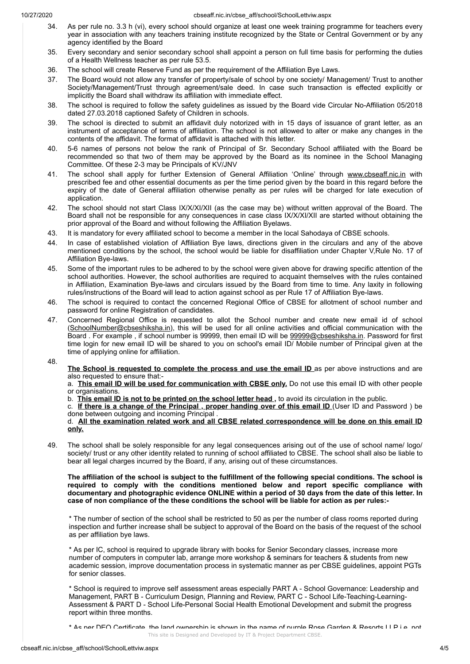- 34. As per rule no. 3.3 h (vi), every school should organize at least one week training programme for teachers every year in association with any teachers training institute recognized by the State or Central Government or by any agency identified by the Board
- 35. Every secondary and senior secondary school shall appoint a person on full time basis for performing the duties of a Health Wellness teacher as per rule 53.5.
- 36. The school will create Reserve Fund as per the requirement of the Affiliation Bye Laws.
- 37. The Board would not allow any transfer of property/sale of school by one society/ Management/ Trust to another Society/Management/Trust through agreement/sale deed. In case such transaction is effected explicitly or implicitly the Board shall withdraw its affiliation with immediate effect.
- 38. The school is required to follow the safety guidelines as issued by the Board vide Circular No-Affiliation 05/2018 dated 27.03.2018 captioned Safety of Children in schools.
- 39. The school is directed to submit an affidavit duly notorized with in 15 days of issuance of grant letter, as an instrument of acceptance of terms of affiliation. The school is not allowed to alter or make any changes in the contents of the affidavit. The format of affidavit is attached with this letter.
- 40. 5-6 names of persons not below the rank of Principal of Sr. Secondary School affiliated with the Board be recommended so that two of them may be approved by the Board as its nominee in the School Managing Committee. Of these 2-3 may be Principals of KV/JNV
- 41. The school shall apply for further Extension of General Affiliation 'Online' through www.cbseaff.nic.in with prescribed fee and other essential documents as per the time period given by the board in this regard before the expiry of the date of General affiliation otherwise penalty as per rules will be charged for late execution of application.
- 42. The school should not start Class IX/X/XI/XII (as the case may be) without written approval of the Board. The Board shall not be responsible for any consequences in case class IX/X/XI/XII are started without obtaining the prior approval of the Board and without following the Affiliation Byelaws.
- 43. It is mandatory for every affiliated school to become a member in the local Sahodaya of CBSE schools.
- 44. In case of established violation of Affiliation Bye laws, directions given in the circulars and any of the above mentioned conditions by the school, the school would be liable for disaffiliation under Chapter V,Rule No. 17 of Affiliation Bye-laws.
- 45. Some of the important rules to be adhered to by the school were given above for drawing specific attention of the school authorities. However, the school authorities are required to acquaint themselves with the rules contained in Affiliation, Examination Bye-laws and circulars issued by the Board from time to time. Any laxity in following rules/instructions of the Board will lead to action against school as per Rule 17 of Affiliation Bye-laws.
- 46. The school is required to contact the concerned Regional Office of CBSE for allotment of school number and password for online Registration of candidates.
- 47. Concerned Regional Office is requested to allot the School number and create new email id of school (SchoolNumber@cbseshiksha.in), this will be used for all online activities and official communication with the Board . For example, if school number is 99999, then email ID will be 99999@cbseshiksha.in. Password for first time login for new email ID will be shared to you on school's email ID/ Mobile number of Principal given at the time of applying online for affiliation.
- 48.

a. This email ID will be used for communication with CBSE only. Do not use this email ID with other people or organisations.

b. This email ID is not to be printed on the school letter head, to avoid its circulation in the public.

c. If there is a change of the Principal, proper handing over of this email ID (User ID and Password ) be done between outgoing and incoming Principal .

d. All the examination related work and all CBSE related correspondence will be done on this email ID only.

49. The school shall be solely responsible for any legal consequences arising out of the use of school name/ logo/ society/ trust or any other identity related to running of school affiliated to CBSE. The school shall also be liable to bear all legal charges incurred by the Board, if any, arising out of these circumstances.

The affiliation of the school is subject to the fulfillment of the following special conditions. The school is required to comply with the conditions mentioned below and report specific compliance with documentary and photographic evidence ONLINE within a period of 30 days from the date of this letter. In case of non compliance of the these conditions the school will be liable for action as per rules:-

\* The number of section of the school shall be restricted to 50 as per the number of class rooms reported during inspection and further increase shall be subject to approval of the Board on the basis of the request of the school as per affiliation bye laws.

\* As per IC, school is required to upgrade library with books for Senior Secondary classes, increase more number of computers in computer lab, arrange more workshop & seminars for teachers & students from new academic session, improve documentation process in systematic manner as per CBSE guidelines, appoint PGTs for senior classes.

\* School is required to improve self assessment areas especially PART A - School Governance: Leadership and Management, PART B - Curriculum Design, Planning and Review, PART C - School Life-Teaching-Learning-Assessment & PART D - School Life-Personal Social Health Emotional Development and submit the progress report within three months.

\* As per DEO Certificate, the land ownership is shown in the name of purple Rose Garden & Resorts LLP i.e. not

The School is requested to complete the process and use the email ID as per above instructions and are also requested to ensure that:-